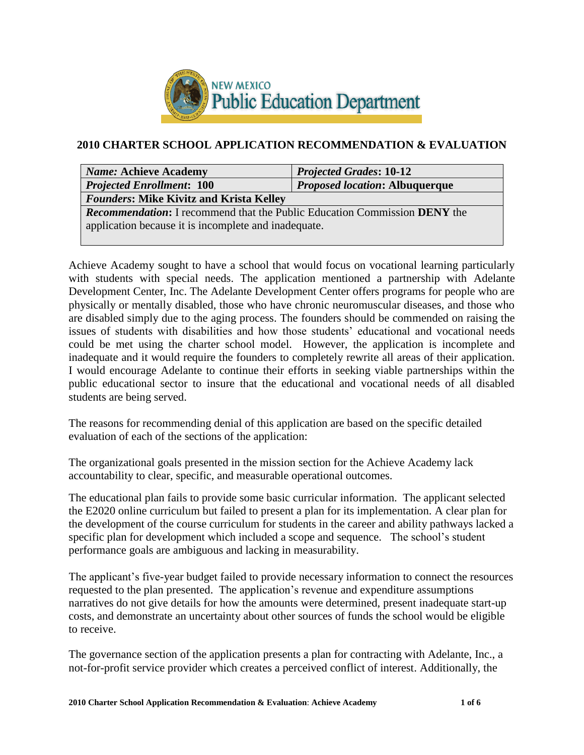

# **2010 CHARTER SCHOOL APPLICATION RECOMMENDATION & EVALUATION**

| <b>Name: Achieve Academy</b>                                                            | <b>Projected Grades: 10-12</b>        |  |  |
|-----------------------------------------------------------------------------------------|---------------------------------------|--|--|
| <b>Projected Enrollment: 100</b>                                                        | <b>Proposed location: Albuquerque</b> |  |  |
| <b>Founders: Mike Kivitz and Krista Kelley</b>                                          |                                       |  |  |
| <b>Recommendation:</b> I recommend that the Public Education Commission <b>DENY</b> the |                                       |  |  |
| application because it is incomplete and inadequate.                                    |                                       |  |  |
|                                                                                         |                                       |  |  |

Achieve Academy sought to have a school that would focus on vocational learning particularly with students with special needs. The application mentioned a partnership with Adelante Development Center, Inc. The Adelante Development Center offers programs for people who are physically or mentally disabled, those who have chronic neuromuscular diseases, and those who are disabled simply due to the aging process. The founders should be commended on raising the issues of students with disabilities and how those students' educational and vocational needs could be met using the charter school model. However, the application is incomplete and inadequate and it would require the founders to completely rewrite all areas of their application. I would encourage Adelante to continue their efforts in seeking viable partnerships within the public educational sector to insure that the educational and vocational needs of all disabled students are being served.

The reasons for recommending denial of this application are based on the specific detailed evaluation of each of the sections of the application:

The organizational goals presented in the mission section for the Achieve Academy lack accountability to clear, specific, and measurable operational outcomes.

The educational plan fails to provide some basic curricular information. The applicant selected the E2020 online curriculum but failed to present a plan for its implementation. A clear plan for the development of the course curriculum for students in the career and ability pathways lacked a specific plan for development which included a scope and sequence. The school's student performance goals are ambiguous and lacking in measurability.

The applicant's five-year budget failed to provide necessary information to connect the resources requested to the plan presented. The application's revenue and expenditure assumptions narratives do not give details for how the amounts were determined, present inadequate start-up costs, and demonstrate an uncertainty about other sources of funds the school would be eligible to receive.

The governance section of the application presents a plan for contracting with Adelante, Inc., a not-for-profit service provider which creates a perceived conflict of interest. Additionally, the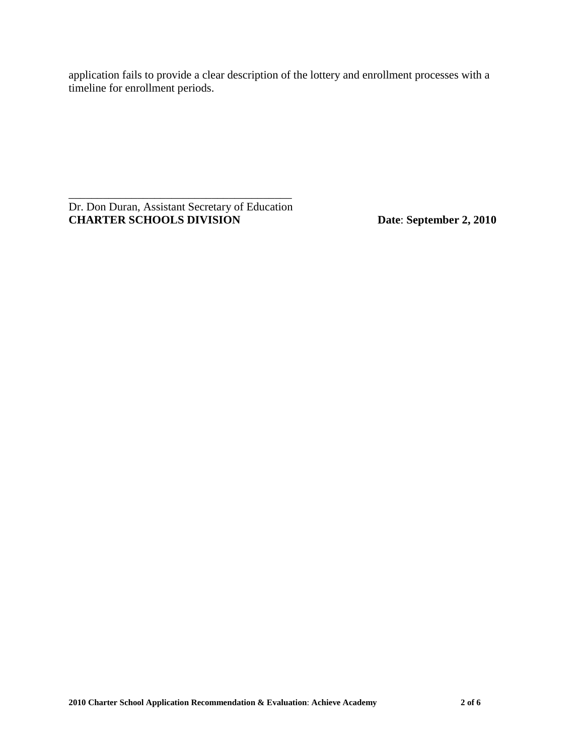application fails to provide a clear description of the lottery and enrollment processes with a timeline for enrollment periods.

\_\_\_\_\_\_\_\_\_\_\_\_\_\_\_\_\_\_\_\_\_\_\_\_\_\_\_\_\_\_\_\_\_\_\_\_\_\_\_ Dr. Don Duran, Assistant Secretary of Education **CHARTER SCHOOLS DIVISION Date**: **September 2, 2010**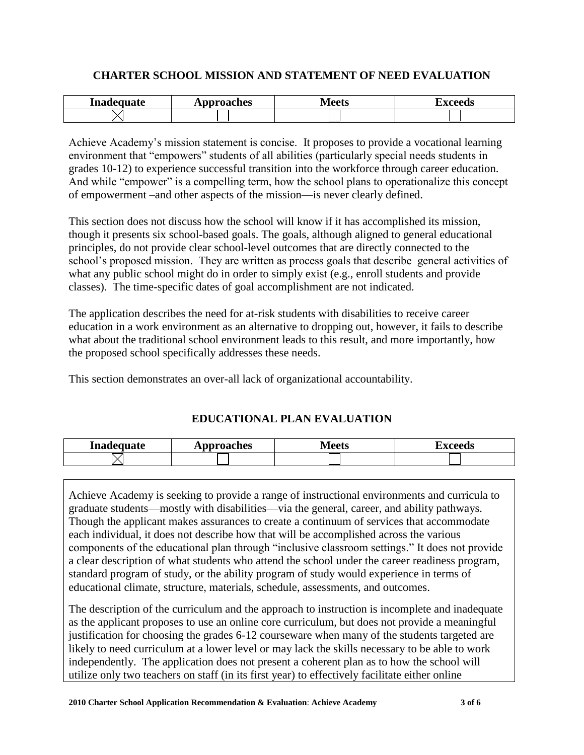## **CHARTER SCHOOL MISSION AND STATEMENT OF NEED EVALUATION**

| Inadequate | <b>pproaches</b><br>. | . /   ______<br>้าน | ----- |
|------------|-----------------------|---------------------|-------|
|            |                       |                     |       |

Achieve Academy's mission statement is concise. It proposes to provide a vocational learning environment that "empowers" students of all abilities (particularly special needs students in grades 10-12) to experience successful transition into the workforce through career education. And while "empower" is a compelling term, how the school plans to operationalize this concept of empowerment –and other aspects of the mission—is never clearly defined.

This section does not discuss how the school will know if it has accomplished its mission, though it presents six school-based goals. The goals, although aligned to general educational principles, do not provide clear school-level outcomes that are directly connected to the school's proposed mission. They are written as process goals that describe general activities of what any public school might do in order to simply exist (e.g., enroll students and provide classes). The time-specific dates of goal accomplishment are not indicated.

The application describes the need for at-risk students with disabilities to receive career education in a work environment as an alternative to dropping out, however, it fails to describe what about the traditional school environment leads to this result, and more importantly, how the proposed school specifically addresses these needs.

This section demonstrates an over-all lack of organizational accountability.

## **EDUCATIONAL PLAN EVALUATION**

| Inadequate | <b>pproaches</b> | /loote  | " <i>xooods</i> |
|------------|------------------|---------|-----------------|
|            | лы               | TATCCIS | лим             |
|            |                  |         |                 |

Achieve Academy is seeking to provide a range of instructional environments and curricula to graduate students—mostly with disabilities—via the general, career, and ability pathways. Though the applicant makes assurances to create a continuum of services that accommodate each individual, it does not describe how that will be accomplished across the various components of the educational plan through "inclusive classroom settings." It does not provide a clear description of what students who attend the school under the career readiness program, standard program of study, or the ability program of study would experience in terms of educational climate, structure, materials, schedule, assessments, and outcomes.

The description of the curriculum and the approach to instruction is incomplete and inadequate as the applicant proposes to use an online core curriculum, but does not provide a meaningful justification for choosing the grades 6-12 courseware when many of the students targeted are likely to need curriculum at a lower level or may lack the skills necessary to be able to work independently. The application does not present a coherent plan as to how the school will utilize only two teachers on staff (in its first year) to effectively facilitate either online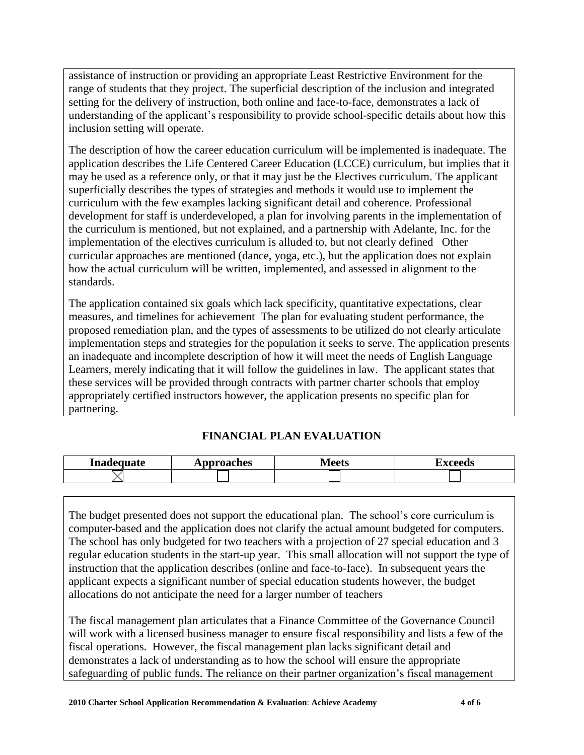assistance of instruction or providing an appropriate Least Restrictive Environment for the range of students that they project. The superficial description of the inclusion and integrated setting for the delivery of instruction, both online and face-to-face, demonstrates a lack of understanding of the applicant's responsibility to provide school-specific details about how this inclusion setting will operate.

The description of how the career education curriculum will be implemented is inadequate. The application describes the Life Centered Career Education (LCCE) curriculum, but implies that it may be used as a reference only, or that it may just be the Electives curriculum. The applicant superficially describes the types of strategies and methods it would use to implement the curriculum with the few examples lacking significant detail and coherence. Professional development for staff is underdeveloped, a plan for involving parents in the implementation of the curriculum is mentioned, but not explained, and a partnership with Adelante, Inc. for the implementation of the electives curriculum is alluded to, but not clearly defined Other curricular approaches are mentioned (dance, yoga, etc.), but the application does not explain how the actual curriculum will be written, implemented, and assessed in alignment to the standards.

The application contained six goals which lack specificity, quantitative expectations, clear measures, and timelines for achievement The plan for evaluating student performance, the proposed remediation plan, and the types of assessments to be utilized do not clearly articulate implementation steps and strategies for the population it seeks to serve. The application presents an inadequate and incomplete description of how it will meet the needs of English Language Learners, merely indicating that it will follow the guidelines in law. The applicant states that these services will be provided through contracts with partner charter schools that employ appropriately certified instructors however, the application presents no specific plan for partnering.

# **FINANCIAL PLAN EVALUATION**

| Inadequate | pproaches<br><b>IND</b> | s/Loote<br>lllo | i vooode |
|------------|-------------------------|-----------------|----------|
|            |                         |                 |          |

The budget presented does not support the educational plan. The school's core curriculum is computer-based and the application does not clarify the actual amount budgeted for computers. The school has only budgeted for two teachers with a projection of 27 special education and 3 regular education students in the start-up year. This small allocation will not support the type of instruction that the application describes (online and face-to-face). In subsequent years the applicant expects a significant number of special education students however, the budget allocations do not anticipate the need for a larger number of teachers

The fiscal management plan articulates that a Finance Committee of the Governance Council will work with a licensed business manager to ensure fiscal responsibility and lists a few of the fiscal operations. However, the fiscal management plan lacks significant detail and demonstrates a lack of understanding as to how the school will ensure the appropriate safeguarding of public funds. The reliance on their partner organization's fiscal management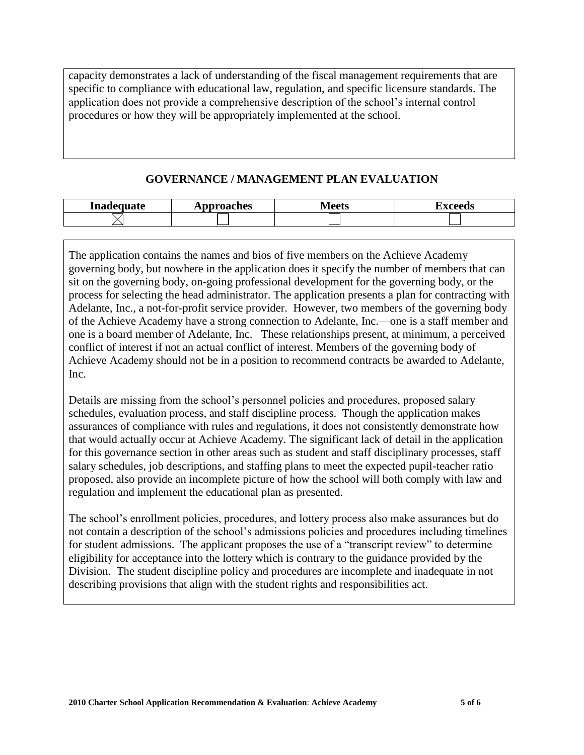capacity demonstrates a lack of understanding of the fiscal management requirements that are specific to compliance with educational law, regulation, and specific licensure standards. The application does not provide a comprehensive description of the school's internal control procedures or how they will be appropriately implemented at the school.

#### **GOVERNANCE / MANAGEMENT PLAN EVALUATION**

| Inadequate | pproaches<br>$\mathbf{L}$ | Maate<br>TATCCIO | `VAAAda<br>ĽА<br>cccus |
|------------|---------------------------|------------------|------------------------|
|            |                           |                  |                        |

The application contains the names and bios of five members on the Achieve Academy governing body, but nowhere in the application does it specify the number of members that can sit on the governing body, on-going professional development for the governing body, or the process for selecting the head administrator. The application presents a plan for contracting with Adelante, Inc., a not-for-profit service provider. However, two members of the governing body of the Achieve Academy have a strong connection to Adelante, Inc.—one is a staff member and one is a board member of Adelante, Inc. These relationships present, at minimum, a perceived conflict of interest if not an actual conflict of interest. Members of the governing body of Achieve Academy should not be in a position to recommend contracts be awarded to Adelante, Inc.

Details are missing from the school's personnel policies and procedures, proposed salary schedules, evaluation process, and staff discipline process. Though the application makes assurances of compliance with rules and regulations, it does not consistently demonstrate how that would actually occur at Achieve Academy. The significant lack of detail in the application for this governance section in other areas such as student and staff disciplinary processes, staff salary schedules, job descriptions, and staffing plans to meet the expected pupil-teacher ratio proposed, also provide an incomplete picture of how the school will both comply with law and regulation and implement the educational plan as presented.

The school's enrollment policies, procedures, and lottery process also make assurances but do not contain a description of the school's admissions policies and procedures including timelines for student admissions. The applicant proposes the use of a "transcript review" to determine eligibility for acceptance into the lottery which is contrary to the guidance provided by the Division. The student discipline policy and procedures are incomplete and inadequate in not describing provisions that align with the student rights and responsibilities act.